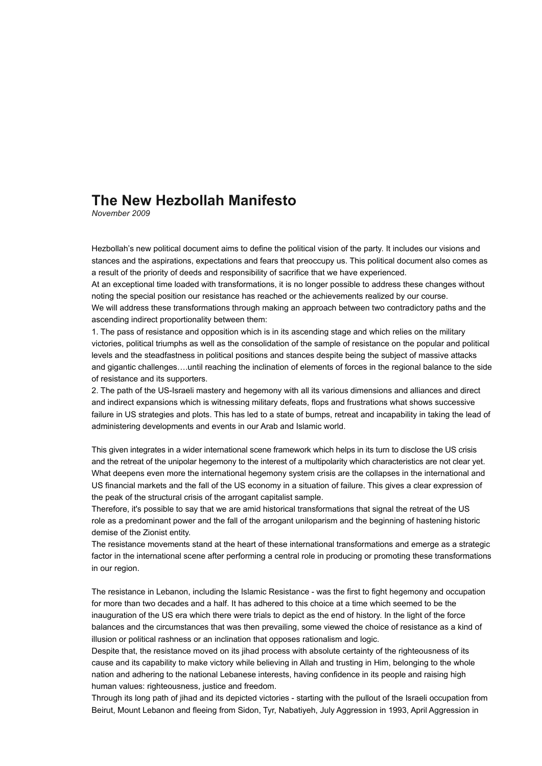# **The New Hezbollah Manifesto**

*November 2009*

Hezbollah's new political document aims to define the political vision of the party. It includes our visions and stances and the aspirations, expectations and fears that preoccupy us. This political document also comes as a result of the priority of deeds and responsibility of sacrifice that we have experienced.

At an exceptional time loaded with transformations, it is no longer possible to address these changes without noting the special position our resistance has reached or the achievements realized by our course.

We will address these transformations through making an approach between two contradictory paths and the ascending indirect proportionality between them:

1. The pass of resistance and opposition which is in its ascending stage and which relies on the military victories, political triumphs as well as the consolidation of the sample of resistance on the popular and political levels and the steadfastness in political positions and stances despite being the subject of massive attacks and gigantic challenges….until reaching the inclination of elements of forces in the regional balance to the side of resistance and its supporters.

2. The path of the US-Israeli mastery and hegemony with all its various dimensions and alliances and direct and indirect expansions which is witnessing military defeats, flops and frustrations what shows successive failure in US strategies and plots. This has led to a state of bumps, retreat and incapability in taking the lead of administering developments and events in our Arab and Islamic world.

This given integrates in a wider international scene framework which helps in its turn to disclose the US crisis and the retreat of the unipolar hegemony to the interest of a multipolarity which characteristics are not clear yet. What deepens even more the international hegemony system crisis are the collapses in the international and US financial markets and the fall of the US economy in a situation of failure. This gives a clear expression of the peak of the structural crisis of the arrogant capitalist sample.

Therefore, it's possible to say that we are amid historical transformations that signal the retreat of the US role as a predominant power and the fall of the arrogant uniloparism and the beginning of hastening historic demise of the Zionist entity.

The resistance movements stand at the heart of these international transformations and emerge as a strategic factor in the international scene after performing a central role in producing or promoting these transformations in our region.

The resistance in Lebanon, including the Islamic Resistance - was the first to fight hegemony and occupation for more than two decades and a half. It has adhered to this choice at a time which seemed to be the inauguration of the US era which there were trials to depict as the end of history. In the light of the force balances and the circumstances that was then prevailing, some viewed the choice of resistance as a kind of illusion or political rashness or an inclination that opposes rationalism and logic.

Despite that, the resistance moved on its jihad process with absolute certainty of the righteousness of its cause and its capability to make victory while believing in Allah and trusting in Him, belonging to the whole nation and adhering to the national Lebanese interests, having confidence in its people and raising high human values: righteousness, justice and freedom.

Through its long path of jihad and its depicted victories - starting with the pullout of the Israeli occupation from Beirut, Mount Lebanon and fleeing from Sidon, Tyr, Nabatiyeh, July Aggression in 1993, April Aggression in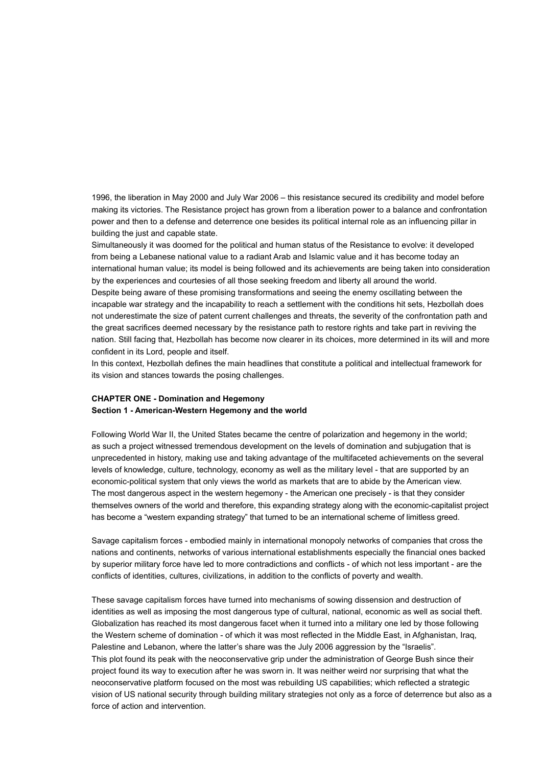1996, the liberation in May 2000 and July War 2006 – this resistance secured its credibility and model before making its victories. The Resistance project has grown from a liberation power to a balance and confrontation power and then to a defense and deterrence one besides its political internal role as an influencing pillar in building the just and capable state.

Simultaneously it was doomed for the political and human status of the Resistance to evolve: it developed from being a Lebanese national value to a radiant Arab and Islamic value and it has become today an international human value; its model is being followed and its achievements are being taken into consideration by the experiences and courtesies of all those seeking freedom and liberty all around the world.

Despite being aware of these promising transformations and seeing the enemy oscillating between the incapable war strategy and the incapability to reach a settlement with the conditions hit sets, Hezbollah does not underestimate the size of patent current challenges and threats, the severity of the confrontation path and the great sacrifices deemed necessary by the resistance path to restore rights and take part in reviving the nation. Still facing that, Hezbollah has become now clearer in its choices, more determined in its will and more confident in its Lord, people and itself.

In this context, Hezbollah defines the main headlines that constitute a political and intellectual framework for its vision and stances towards the posing challenges.

#### **CHAPTER ONE - Domination and Hegemony Section 1 - American-Western Hegemony and the world**

Following World War II, the United States became the centre of polarization and hegemony in the world; as such a project witnessed tremendous development on the levels of domination and subjugation that is unprecedented in history, making use and taking advantage of the multifaceted achievements on the several levels of knowledge, culture, technology, economy as well as the military level - that are supported by an economic-political system that only views the world as markets that are to abide by the American view. The most dangerous aspect in the western hegemony - the American one precisely - is that they consider themselves owners of the world and therefore, this expanding strategy along with the economic-capitalist project has become a "western expanding strategy" that turned to be an international scheme of limitless greed.

Savage capitalism forces - embodied mainly in international monopoly networks of companies that cross the nations and continents, networks of various international establishments especially the financial ones backed by superior military force have led to more contradictions and conflicts - of which not less important - are the conflicts of identities, cultures, civilizations, in addition to the conflicts of poverty and wealth.

These savage capitalism forces have turned into mechanisms of sowing dissension and destruction of identities as well as imposing the most dangerous type of cultural, national, economic as well as social theft. Globalization has reached its most dangerous facet when it turned into a military one led by those following the Western scheme of domination - of which it was most reflected in the Middle East, in Afghanistan, Iraq, Palestine and Lebanon, where the latter's share was the July 2006 aggression by the "Israelis". This plot found its peak with the neoconservative grip under the administration of George Bush since their project found its way to execution after he was sworn in. It was neither weird nor surprising that what the neoconservative platform focused on the most was rebuilding US capabilities; which reflected a strategic vision of US national security through building military strategies not only as a force of deterrence but also as a force of action and intervention.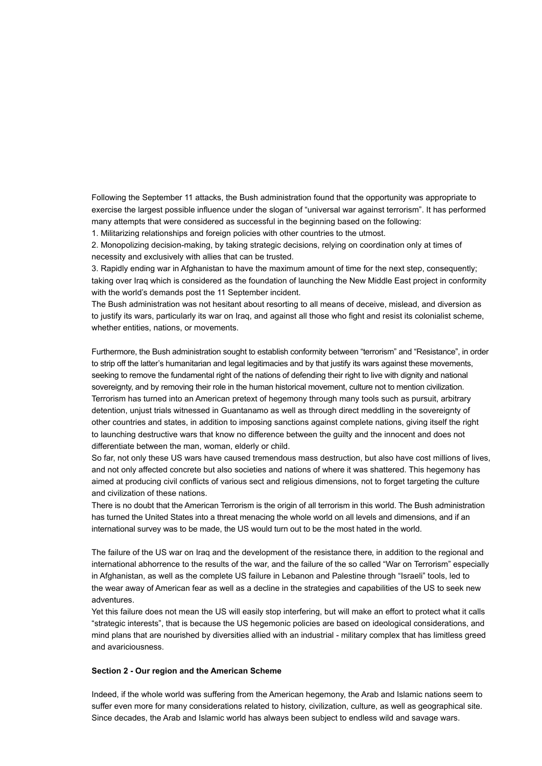Following the September 11 attacks, the Bush administration found that the opportunity was appropriate to exercise the largest possible influence under the slogan of "universal war against terrorism". It has performed many attempts that were considered as successful in the beginning based on the following: 1. Militarizing relationships and foreign policies with other countries to the utmost.

2. Monopolizing decision-making, by taking strategic decisions, relying on coordination only at times of

necessity and exclusively with allies that can be trusted.

3. Rapidly ending war in Afghanistan to have the maximum amount of time for the next step, consequently; taking over Iraq which is considered as the foundation of launching the New Middle East project in conformity with the world's demands post the 11 September incident.

The Bush administration was not hesitant about resorting to all means of deceive, mislead, and diversion as to justify its wars, particularly its war on Iraq, and against all those who fight and resist its colonialist scheme, whether entities, nations, or movements.

Furthermore, the Bush administration sought to establish conformity between "terrorism" and "Resistance", in order to strip off the latter's humanitarian and legal legitimacies and by that justify its wars against these movements, seeking to remove the fundamental right of the nations of defending their right to live with dignity and national sovereignty, and by removing their role in the human historical movement, culture not to mention civilization. Terrorism has turned into an American pretext of hegemony through many tools such as pursuit, arbitrary detention, unjust trials witnessed in Guantanamo as well as through direct meddling in the sovereignty of other countries and states, in addition to imposing sanctions against complete nations, giving itself the right to launching destructive wars that know no difference between the guilty and the innocent and does not differentiate between the man, woman, elderly or child.

So far, not only these US wars have caused tremendous mass destruction, but also have cost millions of lives, and not only affected concrete but also societies and nations of where it was shattered. This hegemony has aimed at producing civil conflicts of various sect and religious dimensions, not to forget targeting the culture and civilization of these nations.

There is no doubt that the American Terrorism is the origin of all terrorism in this world. The Bush administration has turned the United States into a threat menacing the whole world on all levels and dimensions, and if an international survey was to be made, the US would turn out to be the most hated in the world.

The failure of the US war on Iraq and the development of the resistance there, in addition to the regional and international abhorrence to the results of the war, and the failure of the so called "War on Terrorism" especially in Afghanistan, as well as the complete US failure in Lebanon and Palestine through "Israeli" tools, led to the wear away of American fear as well as a decline in the strategies and capabilities of the US to seek new adventures.

Yet this failure does not mean the US will easily stop interfering, but will make an effort to protect what it calls "strategic interests", that is because the US hegemonic policies are based on ideological considerations, and mind plans that are nourished by diversities allied with an industrial - military complex that has limitless greed and avariciousness.

#### **Section 2 - Our region and the American Scheme**

Indeed, if the whole world was suffering from the American hegemony, the Arab and Islamic nations seem to suffer even more for many considerations related to history, civilization, culture, as well as geographical site. Since decades, the Arab and Islamic world has always been subject to endless wild and savage wars.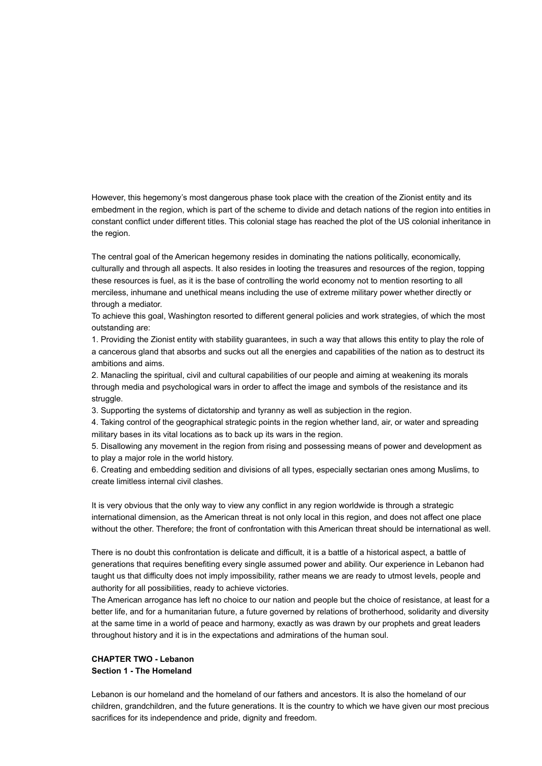However, this hegemony's most dangerous phase took place with the creation of the Zionist entity and its embedment in the region, which is part of the scheme to divide and detach nations of the region into entities in constant conflict under different titles. This colonial stage has reached the plot of the US colonial inheritance in the region.

The central goal of the American hegemony resides in dominating the nations politically, economically, culturally and through all aspects. It also resides in looting the treasures and resources of the region, topping these resources is fuel, as it is the base of controlling the world economy not to mention resorting to all merciless, inhumane and unethical means including the use of extreme military power whether directly or through a mediator.

To achieve this goal, Washington resorted to different general policies and work strategies, of which the most outstanding are:

1. Providing the Zionist entity with stability guarantees, in such a way that allows this entity to play the role of a cancerous gland that absorbs and sucks out all the energies and capabilities of the nation as to destruct its ambitions and aims.

2. Manacling the spiritual, civil and cultural capabilities of our people and aiming at weakening its morals through media and psychological wars in order to affect the image and symbols of the resistance and its struggle.

3. Supporting the systems of dictatorship and tyranny as well as subjection in the region.

4. Taking control of the geographical strategic points in the region whether land, air, or water and spreading military bases in its vital locations as to back up its wars in the region.

5. Disallowing any movement in the region from rising and possessing means of power and development as to play a major role in the world history.

6. Creating and embedding sedition and divisions of all types, especially sectarian ones among Muslims, to create limitless internal civil clashes.

It is very obvious that the only way to view any conflict in any region worldwide is through a strategic international dimension, as the American threat is not only local in this region, and does not affect one place without the other. Therefore; the front of confrontation with this American threat should be international as well.

There is no doubt this confrontation is delicate and difficult, it is a battle of a historical aspect, a battle of generations that requires benefiting every single assumed power and ability. Our experience in Lebanon had taught us that difficulty does not imply impossibility, rather means we are ready to utmost levels, people and authority for all possibilities, ready to achieve victories.

The American arrogance has left no choice to our nation and people but the choice of resistance, at least for a better life, and for a humanitarian future, a future governed by relations of brotherhood, solidarity and diversity at the same time in a world of peace and harmony, exactly as was drawn by our prophets and great leaders throughout history and it is in the expectations and admirations of the human soul.

# **CHAPTER TWO - Lebanon Section 1 - The Homeland**

Lebanon is our homeland and the homeland of our fathers and ancestors. It is also the homeland of our children, grandchildren, and the future generations. It is the country to which we have given our most precious sacrifices for its independence and pride, dignity and freedom.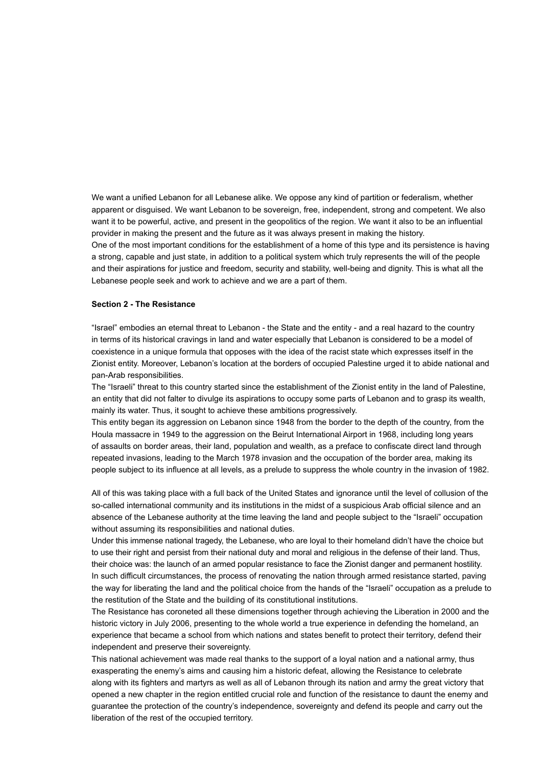We want a unified Lebanon for all Lebanese alike. We oppose any kind of partition or federalism, whether apparent or disguised. We want Lebanon to be sovereign, free, independent, strong and competent. We also want it to be powerful, active, and present in the geopolitics of the region. We want it also to be an influential provider in making the present and the future as it was always present in making the history. One of the most important conditions for the establishment of a home of this type and its persistence is having a strong, capable and just state, in addition to a political system which truly represents the will of the people and their aspirations for justice and freedom, security and stability, well-being and dignity. This is what all the Lebanese people seek and work to achieve and we are a part of them.

#### **Section 2 - The Resistance**

"Israel" embodies an eternal threat to Lebanon - the State and the entity - and a real hazard to the country in terms of its historical cravings in land and water especially that Lebanon is considered to be a model of coexistence in a unique formula that opposes with the idea of the racist state which expresses itself in the Zionist entity. Moreover, Lebanon's location at the borders of occupied Palestine urged it to abide national and pan-Arab responsibilities.

The "Israeli" threat to this country started since the establishment of the Zionist entity in the land of Palestine, an entity that did not falter to divulge its aspirations to occupy some parts of Lebanon and to grasp its wealth, mainly its water. Thus, it sought to achieve these ambitions progressively.

This entity began its aggression on Lebanon since 1948 from the border to the depth of the country, from the Houla massacre in 1949 to the aggression on the Beirut International Airport in 1968, including long years of assaults on border areas, their land, population and wealth, as a preface to confiscate direct land through repeated invasions, leading to the March 1978 invasion and the occupation of the border area, making its people subject to its influence at all levels, as a prelude to suppress the whole country in the invasion of 1982.

All of this was taking place with a full back of the United States and ignorance until the level of collusion of the so-called international community and its institutions in the midst of a suspicious Arab official silence and an absence of the Lebanese authority at the time leaving the land and people subject to the "Israeli" occupation without assuming its responsibilities and national duties.

Under this immense national tragedy, the Lebanese, who are loyal to their homeland didn't have the choice but to use their right and persist from their national duty and moral and religious in the defense of their land. Thus, their choice was: the launch of an armed popular resistance to face the Zionist danger and permanent hostility. In such difficult circumstances, the process of renovating the nation through armed resistance started, paving the way for liberating the land and the political choice from the hands of the "Israeli" occupation as a prelude to the restitution of the State and the building of its constitutional institutions.

The Resistance has coroneted all these dimensions together through achieving the Liberation in 2000 and the historic victory in July 2006, presenting to the whole world a true experience in defending the homeland, an experience that became a school from which nations and states benefit to protect their territory, defend their independent and preserve their sovereignty.

This national achievement was made real thanks to the support of a loyal nation and a national army, thus exasperating the enemy's aims and causing him a historic defeat, allowing the Resistance to celebrate along with its fighters and martyrs as well as all of Lebanon through its nation and army the great victory that opened a new chapter in the region entitled crucial role and function of the resistance to daunt the enemy and guarantee the protection of the country's independence, sovereignty and defend its people and carry out the liberation of the rest of the occupied territory.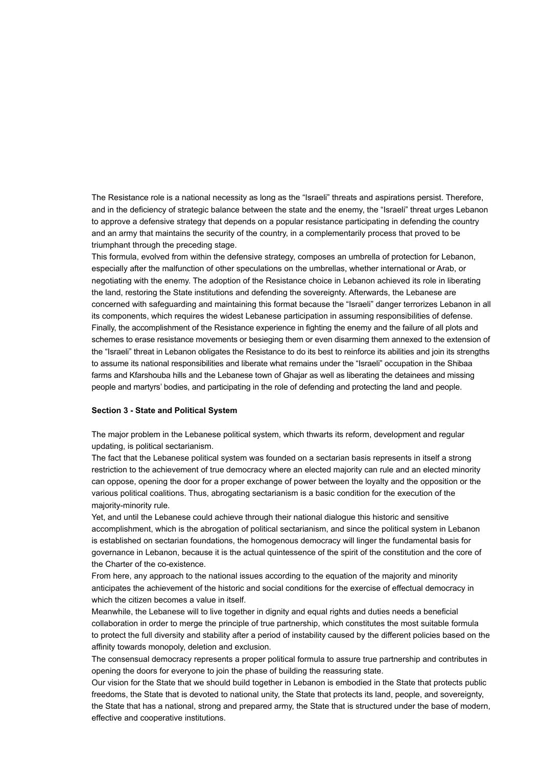The Resistance role is a national necessity as long as the "Israeli" threats and aspirations persist. Therefore, and in the deficiency of strategic balance between the state and the enemy, the "Israeli" threat urges Lebanon to approve a defensive strategy that depends on a popular resistance participating in defending the country and an army that maintains the security of the country, in a complementarily process that proved to be triumphant through the preceding stage.

This formula, evolved from within the defensive strategy, composes an umbrella of protection for Lebanon, especially after the malfunction of other speculations on the umbrellas, whether international or Arab, or negotiating with the enemy. The adoption of the Resistance choice in Lebanon achieved its role in liberating the land, restoring the State institutions and defending the sovereignty. Afterwards, the Lebanese are concerned with safeguarding and maintaining this format because the "Israeli" danger terrorizes Lebanon in all its components, which requires the widest Lebanese participation in assuming responsibilities of defense. Finally, the accomplishment of the Resistance experience in fighting the enemy and the failure of all plots and schemes to erase resistance movements or besieging them or even disarming them annexed to the extension of the "Israeli" threat in Lebanon obligates the Resistance to do its best to reinforce its abilities and join its strengths to assume its national responsibilities and liberate what remains under the "Israeli" occupation in the Shibaa farms and Kfarshouba hills and the Lebanese town of Ghajar as well as liberating the detainees and missing people and martyrs' bodies, and participating in the role of defending and protecting the land and people.

#### **Section 3 - State and Political System**

The major problem in the Lebanese political system, which thwarts its reform, development and regular updating, is political sectarianism.

The fact that the Lebanese political system was founded on a sectarian basis represents in itself a strong restriction to the achievement of true democracy where an elected majority can rule and an elected minority can oppose, opening the door for a proper exchange of power between the loyalty and the opposition or the various political coalitions. Thus, abrogating sectarianism is a basic condition for the execution of the majority-minority rule.

Yet, and until the Lebanese could achieve through their national dialogue this historic and sensitive accomplishment, which is the abrogation of political sectarianism, and since the political system in Lebanon is established on sectarian foundations, the homogenous democracy will linger the fundamental basis for governance in Lebanon, because it is the actual quintessence of the spirit of the constitution and the core of the Charter of the co-existence.

From here, any approach to the national issues according to the equation of the majority and minority anticipates the achievement of the historic and social conditions for the exercise of effectual democracy in which the citizen becomes a value in itself.

Meanwhile, the Lebanese will to live together in dignity and equal rights and duties needs a beneficial collaboration in order to merge the principle of true partnership, which constitutes the most suitable formula to protect the full diversity and stability after a period of instability caused by the different policies based on the affinity towards monopoly, deletion and exclusion.

The consensual democracy represents a proper political formula to assure true partnership and contributes in opening the doors for everyone to join the phase of building the reassuring state.

Our vision for the State that we should build together in Lebanon is embodied in the State that protects public freedoms, the State that is devoted to national unity, the State that protects its land, people, and sovereignty, the State that has a national, strong and prepared army, the State that is structured under the base of modern, effective and cooperative institutions.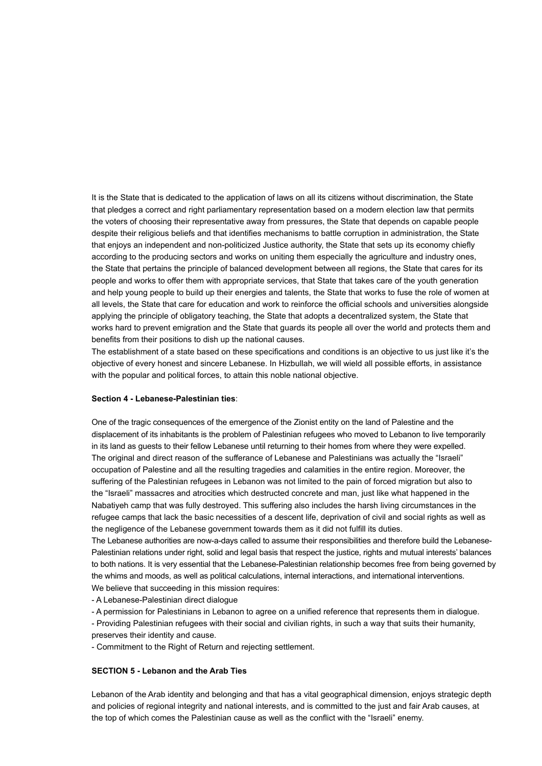It is the State that is dedicated to the application of laws on all its citizens without discrimination, the State that pledges a correct and right parliamentary representation based on a modern election law that permits the voters of choosing their representative away from pressures, the State that depends on capable people despite their religious beliefs and that identifies mechanisms to battle corruption in administration, the State that enjoys an independent and non-politicized Justice authority, the State that sets up its economy chiefly according to the producing sectors and works on uniting them especially the agriculture and industry ones, the State that pertains the principle of balanced development between all regions, the State that cares for its people and works to offer them with appropriate services, that State that takes care of the youth generation and help young people to build up their energies and talents, the State that works to fuse the role of women at all levels, the State that care for education and work to reinforce the official schools and universities alongside applying the principle of obligatory teaching, the State that adopts a decentralized system, the State that works hard to prevent emigration and the State that guards its people all over the world and protects them and benefits from their positions to dish up the national causes.

The establishment of a state based on these specifications and conditions is an objective to us just like it's the objective of every honest and sincere Lebanese. In Hizbullah, we will wield all possible efforts, in assistance with the popular and political forces, to attain this noble national objective.

#### **Section 4 - Lebanese-Palestinian ties**:

One of the tragic consequences of the emergence of the Zionist entity on the land of Palestine and the displacement of its inhabitants is the problem of Palestinian refugees who moved to Lebanon to live temporarily in its land as guests to their fellow Lebanese until returning to their homes from where they were expelled. The original and direct reason of the sufferance of Lebanese and Palestinians was actually the "Israeli" occupation of Palestine and all the resulting tragedies and calamities in the entire region. Moreover, the suffering of the Palestinian refugees in Lebanon was not limited to the pain of forced migration but also to the "Israeli" massacres and atrocities which destructed concrete and man, just like what happened in the Nabatiyeh camp that was fully destroyed. This suffering also includes the harsh living circumstances in the refugee camps that lack the basic necessities of a descent life, deprivation of civil and social rights as well as the negligence of the Lebanese government towards them as it did not fulfill its duties.

The Lebanese authorities are now-a-days called to assume their responsibilities and therefore build the Lebanese-Palestinian relations under right, solid and legal basis that respect the justice, rights and mutual interests' balances to both nations. It is very essential that the Lebanese-Palestinian relationship becomes free from being governed by the whims and moods, as well as political calculations, internal interactions, and international interventions. We believe that succeeding in this mission requires:

- A Lebanese-Palestinian direct dialogue

- A permission for Palestinians in Lebanon to agree on a unified reference that represents them in dialogue.

- Providing Palestinian refugees with their social and civilian rights, in such a way that suits their humanity, preserves their identity and cause.

- Commitment to the Right of Return and rejecting settlement.

#### **SECTION 5 - Lebanon and the Arab Ties**

Lebanon of the Arab identity and belonging and that has a vital geographical dimension, enjoys strategic depth and policies of regional integrity and national interests, and is committed to the just and fair Arab causes, at the top of which comes the Palestinian cause as well as the conflict with the "Israeli" enemy.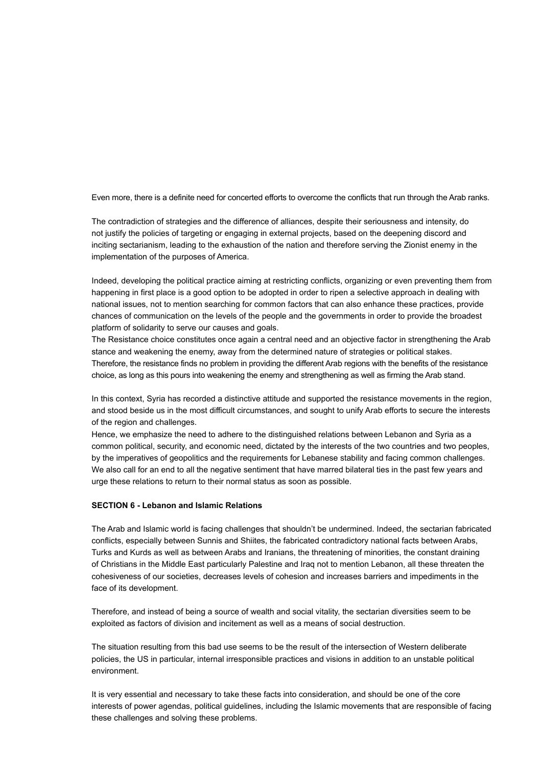Even more, there is a definite need for concerted efforts to overcome the conflicts that run through the Arab ranks.

The contradiction of strategies and the difference of alliances, despite their seriousness and intensity, do not justify the policies of targeting or engaging in external projects, based on the deepening discord and inciting sectarianism, leading to the exhaustion of the nation and therefore serving the Zionist enemy in the implementation of the purposes of America.

Indeed, developing the political practice aiming at restricting conflicts, organizing or even preventing them from happening in first place is a good option to be adopted in order to ripen a selective approach in dealing with national issues, not to mention searching for common factors that can also enhance these practices, provide chances of communication on the levels of the people and the governments in order to provide the broadest platform of solidarity to serve our causes and goals.

The Resistance choice constitutes once again a central need and an objective factor in strengthening the Arab stance and weakening the enemy, away from the determined nature of strategies or political stakes. Therefore, the resistance finds no problem in providing the different Arab regions with the benefits of the resistance choice, as long as this pours into weakening the enemy and strengthening as well as firming the Arab stand.

In this context, Syria has recorded a distinctive attitude and supported the resistance movements in the region, and stood beside us in the most difficult circumstances, and sought to unify Arab efforts to secure the interests of the region and challenges.

Hence, we emphasize the need to adhere to the distinguished relations between Lebanon and Syria as a common political, security, and economic need, dictated by the interests of the two countries and two peoples, by the imperatives of geopolitics and the requirements for Lebanese stability and facing common challenges. We also call for an end to all the negative sentiment that have marred bilateral ties in the past few years and urge these relations to return to their normal status as soon as possible.

## **SECTION 6 - Lebanon and Islamic Relations**

The Arab and Islamic world is facing challenges that shouldn't be undermined. Indeed, the sectarian fabricated conflicts, especially between Sunnis and Shiites, the fabricated contradictory national facts between Arabs, Turks and Kurds as well as between Arabs and Iranians, the threatening of minorities, the constant draining of Christians in the Middle East particularly Palestine and Iraq not to mention Lebanon, all these threaten the cohesiveness of our societies, decreases levels of cohesion and increases barriers and impediments in the face of its development.

Therefore, and instead of being a source of wealth and social vitality, the sectarian diversities seem to be exploited as factors of division and incitement as well as a means of social destruction.

The situation resulting from this bad use seems to be the result of the intersection of Western deliberate policies, the US in particular, internal irresponsible practices and visions in addition to an unstable political environment.

It is very essential and necessary to take these facts into consideration, and should be one of the core interests of power agendas, political guidelines, including the Islamic movements that are responsible of facing these challenges and solving these problems.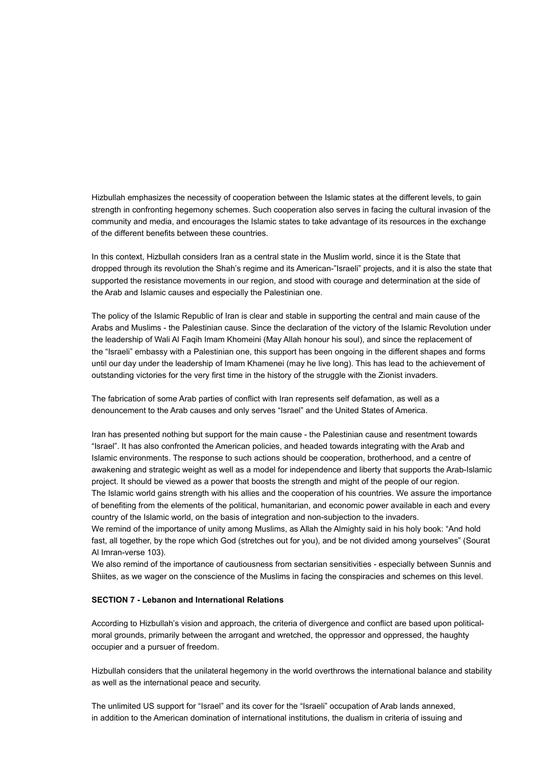Hizbullah emphasizes the necessity of cooperation between the Islamic states at the different levels, to gain strength in confronting hegemony schemes. Such cooperation also serves in facing the cultural invasion of the community and media, and encourages the Islamic states to take advantage of its resources in the exchange of the different benefits between these countries.

In this context, Hizbullah considers Iran as a central state in the Muslim world, since it is the State that dropped through its revolution the Shah's regime and its American-"Israeli" projects, and it is also the state that supported the resistance movements in our region, and stood with courage and determination at the side of the Arab and Islamic causes and especially the Palestinian one.

The policy of the Islamic Republic of Iran is clear and stable in supporting the central and main cause of the Arabs and Muslims - the Palestinian cause. Since the declaration of the victory of the Islamic Revolution under the leadership of Wali Al Faqih Imam Khomeini (May Allah honour his soul), and since the replacement of the "Israeli" embassy with a Palestinian one, this support has been ongoing in the different shapes and forms until our day under the leadership of Imam Khamenei (may he live long). This has lead to the achievement of outstanding victories for the very first time in the history of the struggle with the Zionist invaders.

The fabrication of some Arab parties of conflict with Iran represents self defamation, as well as a denouncement to the Arab causes and only serves "Israel" and the United States of America.

Iran has presented nothing but support for the main cause - the Palestinian cause and resentment towards "Israel". It has also confronted the American policies, and headed towards integrating with the Arab and Islamic environments. The response to such actions should be cooperation, brotherhood, and a centre of awakening and strategic weight as well as a model for independence and liberty that supports the Arab-Islamic project. It should be viewed as a power that boosts the strength and might of the people of our region. The Islamic world gains strength with his allies and the cooperation of his countries. We assure the importance of benefiting from the elements of the political, humanitarian, and economic power available in each and every country of the Islamic world, on the basis of integration and non-subjection to the invaders.

We remind of the importance of unity among Muslims, as Allah the Almighty said in his holy book: "And hold fast, all together, by the rope which God (stretches out for you), and be not divided among yourselves" (Sourat Al Imran-verse 103).

We also remind of the importance of cautiousness from sectarian sensitivities - especially between Sunnis and Shiites, as we wager on the conscience of the Muslims in facing the conspiracies and schemes on this level.

#### **SECTION 7 - Lebanon and International Relations**

According to Hizbullah's vision and approach, the criteria of divergence and conflict are based upon politicalmoral grounds, primarily between the arrogant and wretched, the oppressor and oppressed, the haughty occupier and a pursuer of freedom.

Hizbullah considers that the unilateral hegemony in the world overthrows the international balance and stability as well as the international peace and security.

The unlimited US support for "Israel" and its cover for the "Israeli" occupation of Arab lands annexed, in addition to the American domination of international institutions, the dualism in criteria of issuing and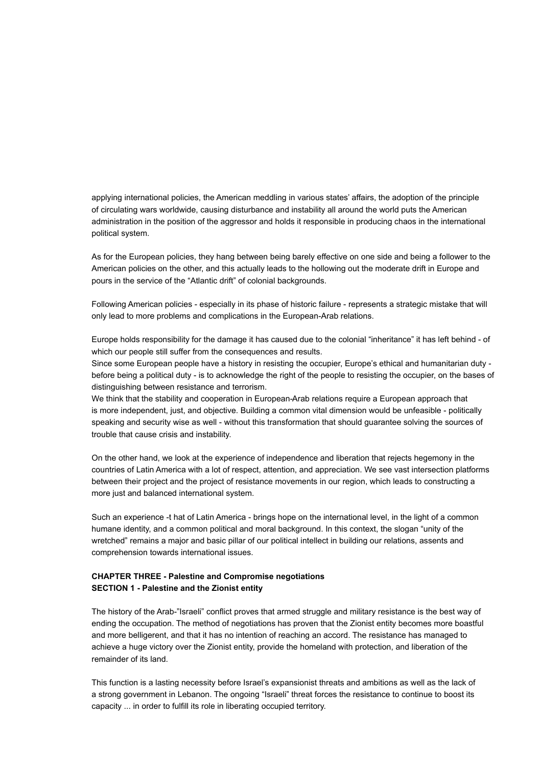applying international policies, the American meddling in various states' affairs, the adoption of the principle of circulating wars worldwide, causing disturbance and instability all around the world puts the American administration in the position of the aggressor and holds it responsible in producing chaos in the international political system.

As for the European policies, they hang between being barely effective on one side and being a follower to the American policies on the other, and this actually leads to the hollowing out the moderate drift in Europe and pours in the service of the "Atlantic drift" of colonial backgrounds.

Following American policies - especially in its phase of historic failure - represents a strategic mistake that will only lead to more problems and complications in the European-Arab relations.

Europe holds responsibility for the damage it has caused due to the colonial "inheritance" it has left behind - of which our people still suffer from the consequences and results.

Since some European people have a history in resisting the occupier, Europe's ethical and humanitarian duty before being a political duty - is to acknowledge the right of the people to resisting the occupier, on the bases of distinguishing between resistance and terrorism.

We think that the stability and cooperation in European-Arab relations require a European approach that is more independent, just, and objective. Building a common vital dimension would be unfeasible - politically speaking and security wise as well - without this transformation that should guarantee solving the sources of trouble that cause crisis and instability.

On the other hand, we look at the experience of independence and liberation that rejects hegemony in the countries of Latin America with a lot of respect, attention, and appreciation. We see vast intersection platforms between their project and the project of resistance movements in our region, which leads to constructing a more just and balanced international system.

Such an experience -t hat of Latin America - brings hope on the international level, in the light of a common humane identity, and a common political and moral background. In this context, the slogan "unity of the wretched" remains a major and basic pillar of our political intellect in building our relations, assents and comprehension towards international issues.

## **CHAPTER THREE - Palestine and Compromise negotiations SECTION 1 - Palestine and the Zionist entity**

The history of the Arab-"Israeli" conflict proves that armed struggle and military resistance is the best way of ending the occupation. The method of negotiations has proven that the Zionist entity becomes more boastful and more belligerent, and that it has no intention of reaching an accord. The resistance has managed to achieve a huge victory over the Zionist entity, provide the homeland with protection, and liberation of the remainder of its land.

This function is a lasting necessity before Israel's expansionist threats and ambitions as well as the lack of a strong government in Lebanon. The ongoing "Israeli" threat forces the resistance to continue to boost its capacity ... in order to fulfill its role in liberating occupied territory.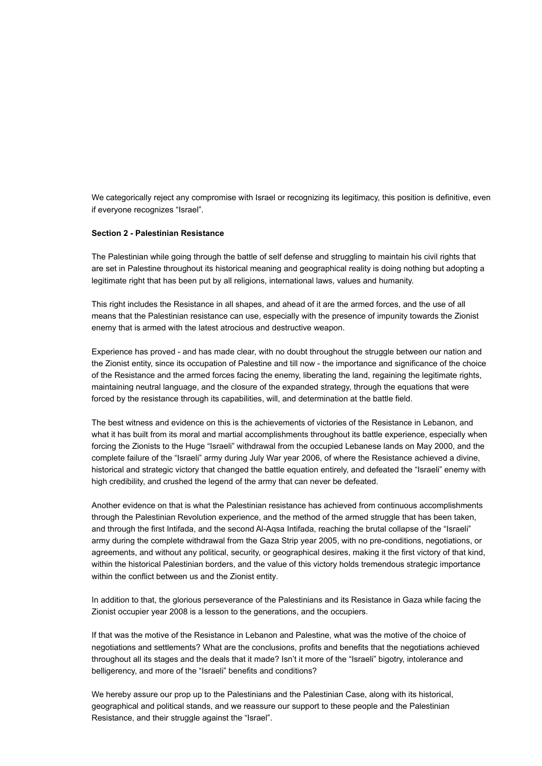We categorically reject any compromise with Israel or recognizing its legitimacy, this position is definitive, even if everyone recognizes "Israel".

## **Section 2 - Palestinian Resistance**

The Palestinian while going through the battle of self defense and struggling to maintain his civil rights that are set in Palestine throughout its historical meaning and geographical reality is doing nothing but adopting a legitimate right that has been put by all religions, international laws, values and humanity.

This right includes the Resistance in all shapes, and ahead of it are the armed forces, and the use of all means that the Palestinian resistance can use, especially with the presence of impunity towards the Zionist enemy that is armed with the latest atrocious and destructive weapon.

Experience has proved - and has made clear, with no doubt throughout the struggle between our nation and the Zionist entity, since its occupation of Palestine and till now - the importance and significance of the choice of the Resistance and the armed forces facing the enemy, liberating the land, regaining the legitimate rights, maintaining neutral language, and the closure of the expanded strategy, through the equations that were forced by the resistance through its capabilities, will, and determination at the battle field.

The best witness and evidence on this is the achievements of victories of the Resistance in Lebanon, and what it has built from its moral and martial accomplishments throughout its battle experience, especially when forcing the Zionists to the Huge "Israeli" withdrawal from the occupied Lebanese lands on May 2000, and the complete failure of the "Israeli" army during July War year 2006, of where the Resistance achieved a divine, historical and strategic victory that changed the battle equation entirely, and defeated the "Israeli" enemy with high credibility, and crushed the legend of the army that can never be defeated.

Another evidence on that is what the Palestinian resistance has achieved from continuous accomplishments through the Palestinian Revolution experience, and the method of the armed struggle that has been taken, and through the first Intifada, and the second Al-Aqsa Intifada, reaching the brutal collapse of the "Israeli" army during the complete withdrawal from the Gaza Strip year 2005, with no pre-conditions, negotiations, or agreements, and without any political, security, or geographical desires, making it the first victory of that kind, within the historical Palestinian borders, and the value of this victory holds tremendous strategic importance within the conflict between us and the Zionist entity.

In addition to that, the glorious perseverance of the Palestinians and its Resistance in Gaza while facing the Zionist occupier year 2008 is a lesson to the generations, and the occupiers.

If that was the motive of the Resistance in Lebanon and Palestine, what was the motive of the choice of negotiations and settlements? What are the conclusions, profits and benefits that the negotiations achieved throughout all its stages and the deals that it made? Isn't it more of the "Israeli" bigotry, intolerance and belligerency, and more of the "Israeli" benefits and conditions?

We hereby assure our prop up to the Palestinians and the Palestinian Case, along with its historical, geographical and political stands, and we reassure our support to these people and the Palestinian Resistance, and their struggle against the "Israel".